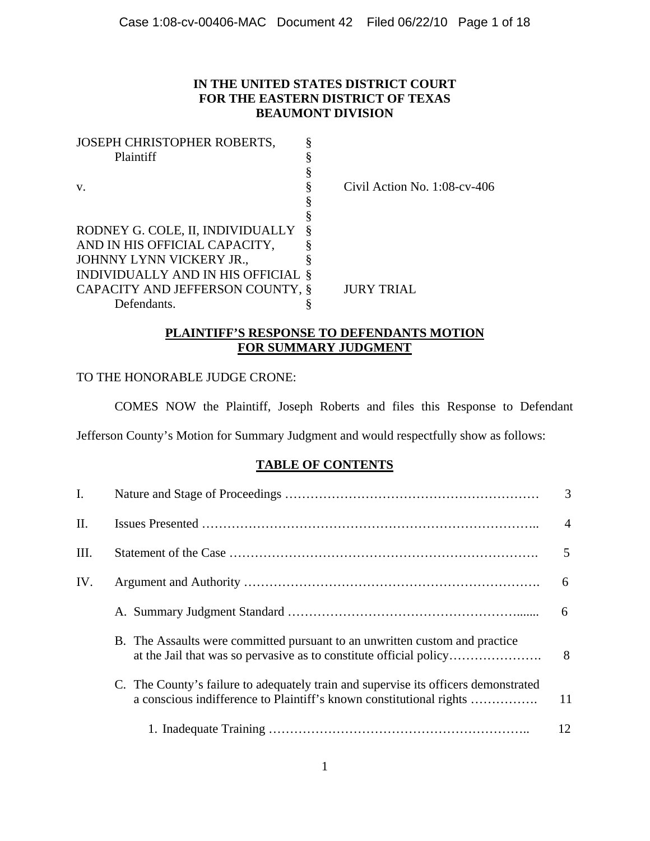# **IN THE UNITED STATES DISTRICT COURT FOR THE EASTERN DISTRICT OF TEXAS BEAUMONT DIVISION**

| JOSEPH CHRISTOPHER ROBERTS,        |   |                                 |
|------------------------------------|---|---------------------------------|
| Plaintiff                          |   |                                 |
|                                    |   |                                 |
| V.                                 |   | Civil Action No. $1:08$ -cv-406 |
|                                    |   |                                 |
|                                    |   |                                 |
| RODNEY G. COLE, II, INDIVIDUALLY   | ö |                                 |
| AND IN HIS OFFICIAL CAPACITY,      |   |                                 |
| JOHNNY LYNN VICKERY JR.,           |   |                                 |
| INDIVIDUALLY AND IN HIS OFFICIAL § |   |                                 |
| CAPACITY AND JEFFERSON COUNTY, §   |   | <b>JURY TRIAL</b>               |
| Defendants.                        |   |                                 |

# **PLAINTIFF'S RESPONSE TO DEFENDANTS MOTION FOR SUMMARY JUDGMENT**

# TO THE HONORABLE JUDGE CRONE:

COMES NOW the Plaintiff, Joseph Roberts and files this Response to Defendant

Jefferson County's Motion for Summary Judgment and would respectfully show as follows:

# **TABLE OF CONTENTS**

| I.   |                                                                                                                                                            | 3  |
|------|------------------------------------------------------------------------------------------------------------------------------------------------------------|----|
| Π.   |                                                                                                                                                            |    |
| III. |                                                                                                                                                            |    |
| IV.  |                                                                                                                                                            | 6  |
|      |                                                                                                                                                            | 6  |
|      | B. The Assaults were committed pursuant to an unwritten custom and practice                                                                                | 8  |
|      | C. The County's failure to adequately train and supervise its officers demonstrated<br>a conscious indifference to Plaintiff's known constitutional rights | 11 |
|      |                                                                                                                                                            | 12 |
|      |                                                                                                                                                            |    |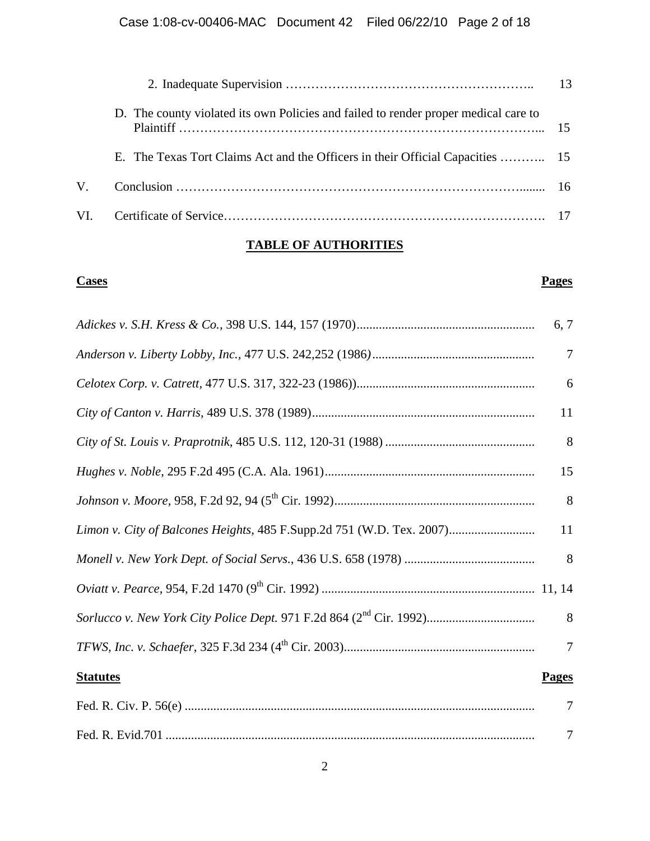|    | D. The county violated its own Policies and failed to render proper medical care to |  |
|----|-------------------------------------------------------------------------------------|--|
|    | E. The Texas Tort Claims Act and the Officers in their Official Capacities  15      |  |
| V. |                                                                                     |  |
|    |                                                                                     |  |

# **TABLE OF AUTHORITIES**

## **Cases Pages**

|                 | 6, 7           |
|-----------------|----------------|
|                 | $\overline{7}$ |
|                 | 6              |
|                 | 11             |
|                 | 8              |
|                 | 15             |
|                 | 8              |
|                 | 11             |
|                 | 8              |
|                 |                |
|                 | 8              |
|                 | $\overline{7}$ |
| <b>Statutes</b> | <b>Pages</b>   |
|                 | $\overline{7}$ |
|                 | $\overline{7}$ |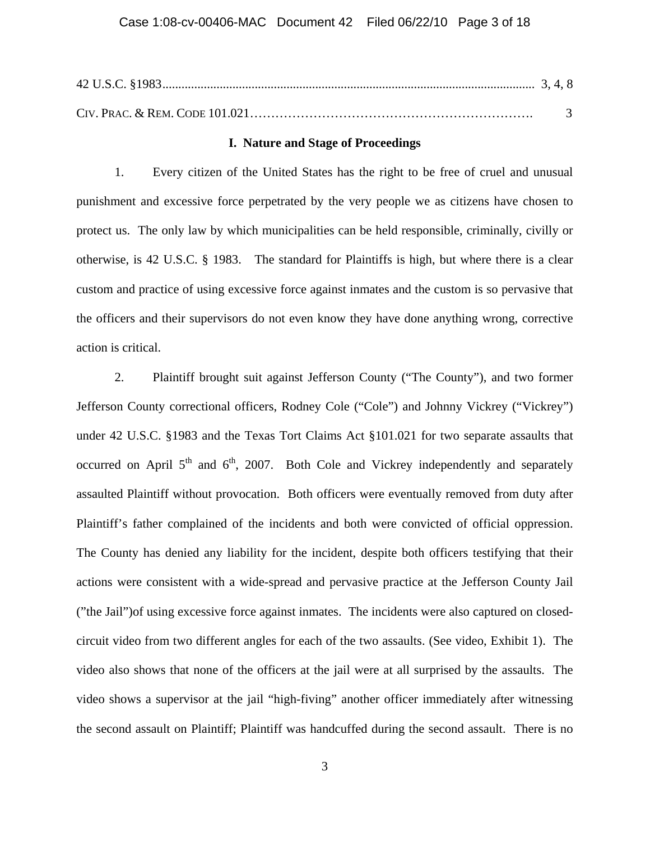#### **I. Nature and Stage of Proceedings**

1. Every citizen of the United States has the right to be free of cruel and unusual punishment and excessive force perpetrated by the very people we as citizens have chosen to protect us. The only law by which municipalities can be held responsible, criminally, civilly or otherwise, is 42 U.S.C. § 1983. The standard for Plaintiffs is high, but where there is a clear custom and practice of using excessive force against inmates and the custom is so pervasive that the officers and their supervisors do not even know they have done anything wrong, corrective action is critical.

2. Plaintiff brought suit against Jefferson County ("The County"), and two former Jefferson County correctional officers, Rodney Cole ("Cole") and Johnny Vickrey ("Vickrey") under 42 U.S.C. §1983 and the Texas Tort Claims Act §101.021 for two separate assaults that occurred on April  $5<sup>th</sup>$  and  $6<sup>th</sup>$ , 2007. Both Cole and Vickrey independently and separately assaulted Plaintiff without provocation. Both officers were eventually removed from duty after Plaintiff's father complained of the incidents and both were convicted of official oppression. The County has denied any liability for the incident, despite both officers testifying that their actions were consistent with a wide-spread and pervasive practice at the Jefferson County Jail ("the Jail")of using excessive force against inmates. The incidents were also captured on closedcircuit video from two different angles for each of the two assaults. (See video, Exhibit 1). The video also shows that none of the officers at the jail were at all surprised by the assaults. The video shows a supervisor at the jail "high-fiving" another officer immediately after witnessing the second assault on Plaintiff; Plaintiff was handcuffed during the second assault. There is no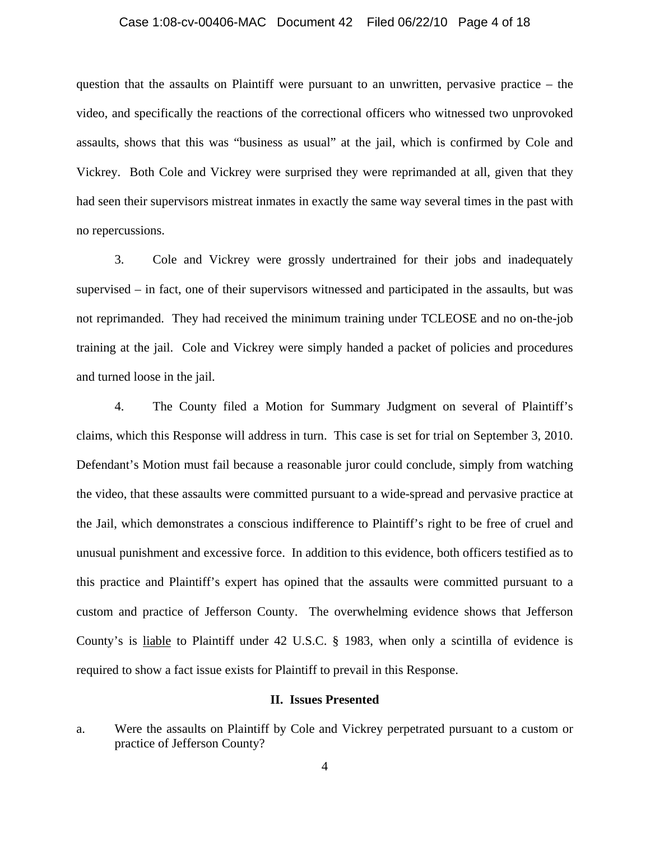### Case 1:08-cv-00406-MAC Document 42 Filed 06/22/10 Page 4 of 18

question that the assaults on Plaintiff were pursuant to an unwritten, pervasive practice – the video, and specifically the reactions of the correctional officers who witnessed two unprovoked assaults, shows that this was "business as usual" at the jail, which is confirmed by Cole and Vickrey. Both Cole and Vickrey were surprised they were reprimanded at all, given that they had seen their supervisors mistreat inmates in exactly the same way several times in the past with no repercussions.

3. Cole and Vickrey were grossly undertrained for their jobs and inadequately supervised – in fact, one of their supervisors witnessed and participated in the assaults, but was not reprimanded. They had received the minimum training under TCLEOSE and no on-the-job training at the jail. Cole and Vickrey were simply handed a packet of policies and procedures and turned loose in the jail.

4. The County filed a Motion for Summary Judgment on several of Plaintiff's claims, which this Response will address in turn. This case is set for trial on September 3, 2010. Defendant's Motion must fail because a reasonable juror could conclude, simply from watching the video, that these assaults were committed pursuant to a wide-spread and pervasive practice at the Jail, which demonstrates a conscious indifference to Plaintiff's right to be free of cruel and unusual punishment and excessive force. In addition to this evidence, both officers testified as to this practice and Plaintiff's expert has opined that the assaults were committed pursuant to a custom and practice of Jefferson County. The overwhelming evidence shows that Jefferson County's is liable to Plaintiff under 42 U.S.C. § 1983, when only a scintilla of evidence is required to show a fact issue exists for Plaintiff to prevail in this Response.

## **II. Issues Presented**

a. Were the assaults on Plaintiff by Cole and Vickrey perpetrated pursuant to a custom or practice of Jefferson County?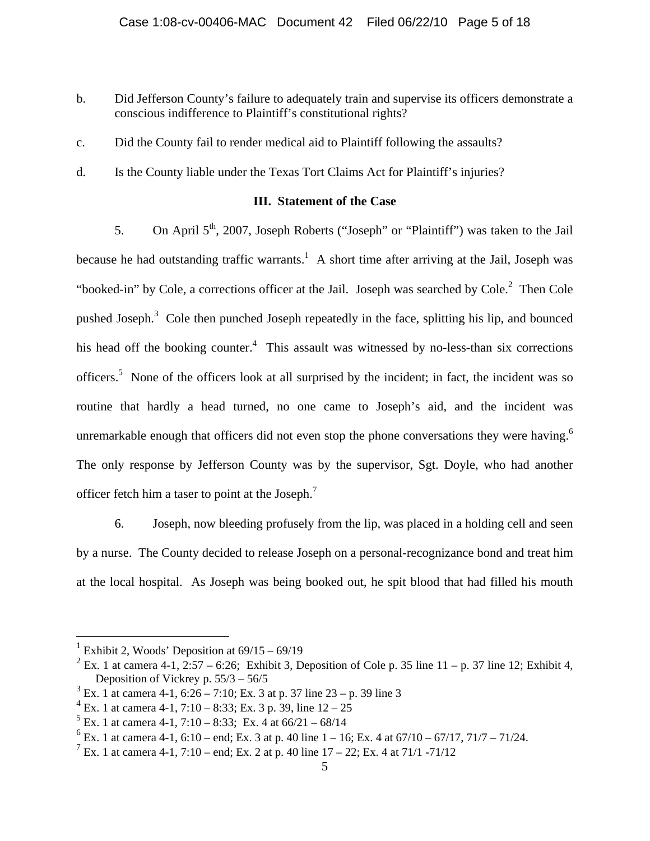- b. Did Jefferson County's failure to adequately train and supervise its officers demonstrate a conscious indifference to Plaintiff's constitutional rights?
- c. Did the County fail to render medical aid to Plaintiff following the assaults?
- d. Is the County liable under the Texas Tort Claims Act for Plaintiff's injuries?

## **III. Statement of the Case**

5. On April 5<sup>th</sup>, 2007, Joseph Roberts ("Joseph" or "Plaintiff") was taken to the Jail because he had outstanding traffic warrants.<sup>1</sup> A short time after arriving at the Jail, Joseph was "booked-in" by Cole, a corrections officer at the Jail. Joseph was searched by Cole. $2$  Then Cole pushed Joseph.<sup>3</sup> Cole then punched Joseph repeatedly in the face, splitting his lip, and bounced his head off the booking counter.<sup>4</sup> This assault was witnessed by no-less-than six corrections officers.<sup>5</sup> None of the officers look at all surprised by the incident; in fact, the incident was so routine that hardly a head turned, no one came to Joseph's aid, and the incident was unremarkable enough that officers did not even stop the phone conversations they were having.<sup>6</sup> The only response by Jefferson County was by the supervisor, Sgt. Doyle, who had another officer fetch him a taser to point at the Joseph.<sup>7</sup>

6. Joseph, now bleeding profusely from the lip, was placed in a holding cell and seen by a nurse. The County decided to release Joseph on a personal-recognizance bond and treat him at the local hospital. As Joseph was being booked out, he spit blood that had filled his mouth

<sup>1</sup> Exhibit 2, Woods' Deposition at 69/15 – 69/19

<sup>&</sup>lt;sup>2</sup> Ex. 1 at camera 4-1, 2:57 – 6:26; Exhibit 3, Deposition of Cole p. 35 line 11 – p. 37 line 12; Exhibit 4, Deposition of Vickrey p. 55/3 – 56/5

 $3 \text{ Ex. 1}$  at camera 4-1, 6:26 – 7:10; Ex. 3 at p. 37 line 23 – p. 39 line 3

 $4$  Ex. 1 at camera 4-1, 7:10 – 8:33; Ex. 3 p. 39, line  $12 - 25$ 

 $5$  Ex. 1 at camera 4-1, 7:10 – 8:33; Ex. 4 at 66/21 – 68/14

 $6$  Ex. 1 at camera 4-1, 6:10 – end; Ex. 3 at p. 40 line  $1 - 16$ ; Ex. 4 at  $67/10 - 67/17$ ,  $71/7 - 71/24$ .

<sup>&</sup>lt;sup>7</sup> Ex. 1 at camera 4-1, 7:10 – end; Ex. 2 at p. 40 line  $17 - 22$ ; Ex. 4 at  $71/1$  -71/12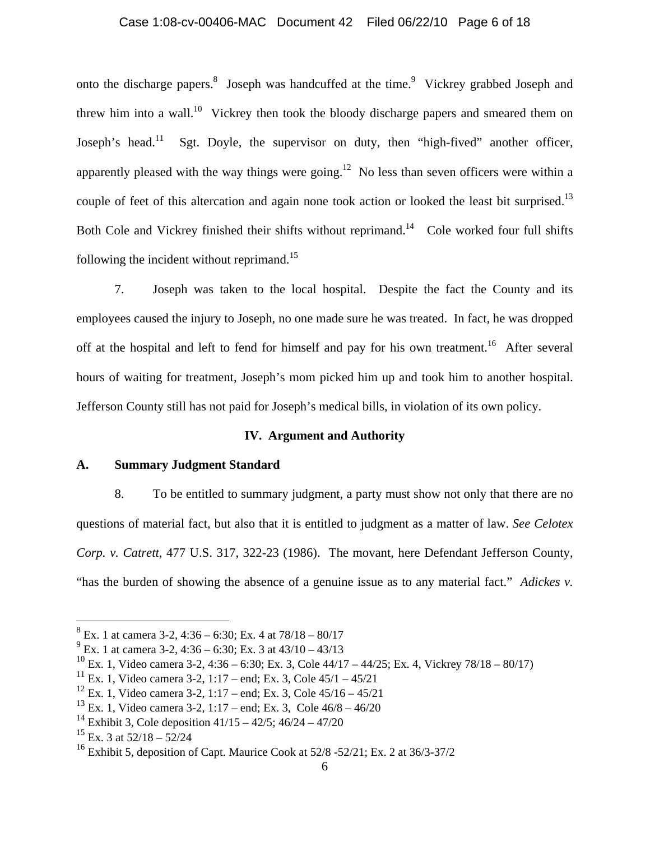## Case 1:08-cv-00406-MAC Document 42 Filed 06/22/10 Page 6 of 18

onto the discharge papers.<sup>8</sup> Joseph was handcuffed at the time.<sup>9</sup> Vickrey grabbed Joseph and threw him into a wall.<sup>10</sup> Vickrey then took the bloody discharge papers and smeared them on Joseph's head.<sup>11</sup> Sgt. Doyle, the supervisor on duty, then "high-fived" another officer, apparently pleased with the way things were going.<sup>12</sup> No less than seven officers were within a couple of feet of this altercation and again none took action or looked the least bit surprised.<sup>13</sup> Both Cole and Vickrey finished their shifts without reprimand.<sup>14</sup> Cole worked four full shifts following the incident without reprimand.<sup>15</sup>

7. Joseph was taken to the local hospital. Despite the fact the County and its employees caused the injury to Joseph, no one made sure he was treated. In fact, he was dropped off at the hospital and left to fend for himself and pay for his own treatment.<sup>16</sup> After several hours of waiting for treatment, Joseph's mom picked him up and took him to another hospital. Jefferson County still has not paid for Joseph's medical bills, in violation of its own policy.

## **IV. Argument and Authority**

### **A. Summary Judgment Standard**

8. To be entitled to summary judgment, a party must show not only that there are no questions of material fact, but also that it is entitled to judgment as a matter of law. *See Celotex Corp. v. Catrett*, 477 U.S. 317, 322-23 (1986). The movant, here Defendant Jefferson County, "has the burden of showing the absence of a genuine issue as to any material fact." *Adickes v.* 

1

 $8 \text{ Ex. 1 at camera } 3-2, 4:36 - 6:30$ ; Ex. 4 at  $78/18 - 80/17$ 

 $^{9}$  Ex. 1 at camera 3-2, 4:36 – 6:30; Ex. 3 at 43/10 – 43/13

<sup>&</sup>lt;sup>10</sup> Ex. 1, Video camera 3-2, 4:36 – 6:30; Ex. 3, Cole 44/17 – 44/25; Ex. 4, Vickrey 78/18 – 80/17)

 $11$  Ex. 1, Video camera 3-2, 1:17 – end; Ex. 3, Cole 45/1 – 45/21

 $12$  Ex. 1, Video camera 3-2, 1:17 – end; Ex. 3, Cole 45/16 – 45/21

 $^{13}$  Ex. 1, Video camera 3-2, 1:17 – end; Ex. 3, Cole 46/8 – 46/20

<sup>&</sup>lt;sup>14</sup> Exhibit 3, Cole deposition  $41/15 - 42/5$ ;  $46/24 - 47/20$ 

 $15$  Ex. 3 at  $52/18 - 52/24$ 

<sup>&</sup>lt;sup>16</sup> Exhibit 5, deposition of Capt. Maurice Cook at  $52/8$  -52/21; Ex. 2 at  $36/3$ -37/2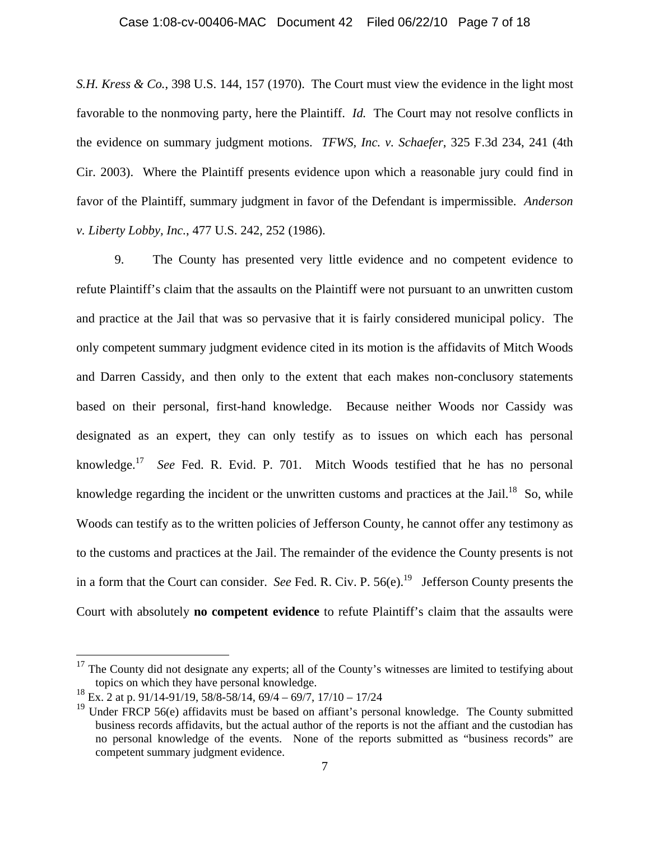#### Case 1:08-cv-00406-MAC Document 42 Filed 06/22/10 Page 7 of 18

*S.H. Kress & Co.*, 398 U.S. 144, 157 (1970). The Court must view the evidence in the light most favorable to the nonmoving party, here the Plaintiff. *Id.* The Court may not resolve conflicts in the evidence on summary judgment motions. *TFWS, Inc. v. Schaefer*, 325 F.3d 234, 241 (4th Cir. 2003). Where the Plaintiff presents evidence upon which a reasonable jury could find in favor of the Plaintiff, summary judgment in favor of the Defendant is impermissible. *Anderson v. Liberty Lobby, Inc.*, 477 U.S. 242, 252 (1986).

9. The County has presented very little evidence and no competent evidence to refute Plaintiff's claim that the assaults on the Plaintiff were not pursuant to an unwritten custom and practice at the Jail that was so pervasive that it is fairly considered municipal policy. The only competent summary judgment evidence cited in its motion is the affidavits of Mitch Woods and Darren Cassidy, and then only to the extent that each makes non-conclusory statements based on their personal, first-hand knowledge. Because neither Woods nor Cassidy was designated as an expert, they can only testify as to issues on which each has personal knowledge.17 *See* Fed. R. Evid. P. 701. Mitch Woods testified that he has no personal knowledge regarding the incident or the unwritten customs and practices at the Jail.<sup>18</sup> So, while Woods can testify as to the written policies of Jefferson County, he cannot offer any testimony as to the customs and practices at the Jail. The remainder of the evidence the County presents is not in a form that the Court can consider. *See* Fed. R. Civ. P.  $56(e)$ .<sup>19</sup> Jefferson County presents the Court with absolutely **no competent evidence** to refute Plaintiff's claim that the assaults were

 $17$  The County did not designate any experts; all of the County's witnesses are limited to testifying about topics on which they have personal knowledge.

<sup>18</sup> Ex. 2 at p. 91/14-91/19, 58/8-58/14, 69/4 – 69/7, 17/10 – 17/24

 $19$  Under FRCP 56(e) affidavits must be based on affiant's personal knowledge. The County submitted business records affidavits, but the actual author of the reports is not the affiant and the custodian has no personal knowledge of the events. None of the reports submitted as "business records" are competent summary judgment evidence.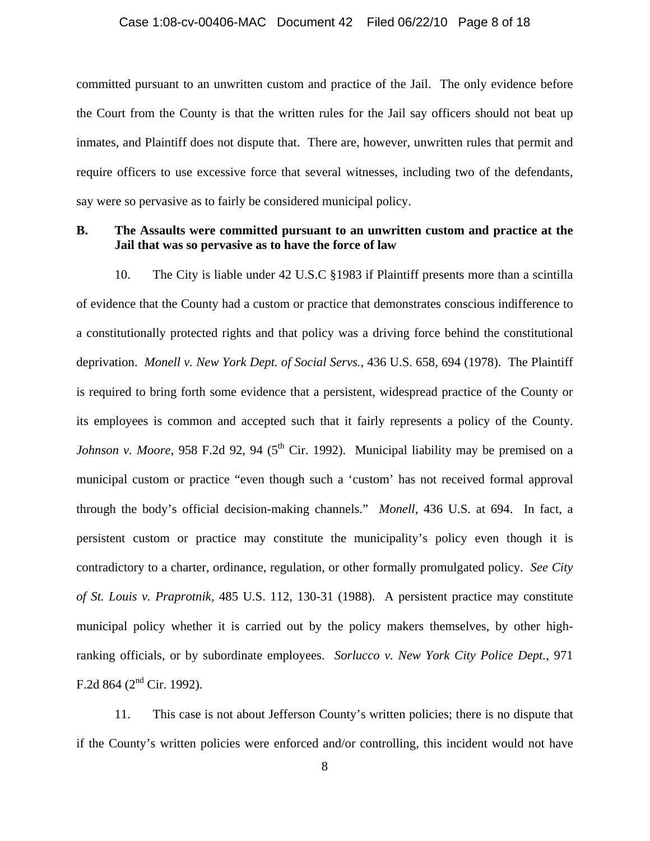### Case 1:08-cv-00406-MAC Document 42 Filed 06/22/10 Page 8 of 18

committed pursuant to an unwritten custom and practice of the Jail. The only evidence before the Court from the County is that the written rules for the Jail say officers should not beat up inmates, and Plaintiff does not dispute that. There are, however, unwritten rules that permit and require officers to use excessive force that several witnesses, including two of the defendants, say were so pervasive as to fairly be considered municipal policy.

## **B. The Assaults were committed pursuant to an unwritten custom and practice at the Jail that was so pervasive as to have the force of law**

10. The City is liable under 42 U.S.C §1983 if Plaintiff presents more than a scintilla of evidence that the County had a custom or practice that demonstrates conscious indifference to a constitutionally protected rights and that policy was a driving force behind the constitutional deprivation. *Monell v. New York Dept. of Social Servs.*, 436 U.S. 658, 694 (1978). The Plaintiff is required to bring forth some evidence that a persistent, widespread practice of the County or its employees is common and accepted such that it fairly represents a policy of the County. *Johnson v. Moore*, 958 F.2d 92, 94 ( $5<sup>th</sup>$  Cir. 1992). Municipal liability may be premised on a municipal custom or practice "even though such a 'custom' has not received formal approval through the body's official decision-making channels." *Monell*, 436 U.S. at 694. In fact, a persistent custom or practice may constitute the municipality's policy even though it is contradictory to a charter, ordinance, regulation, or other formally promulgated policy. *See City of St. Louis v. Praprotnik*, 485 U.S. 112, 130-31 (1988). A persistent practice may constitute municipal policy whether it is carried out by the policy makers themselves, by other highranking officials, or by subordinate employees. *Sorlucco v. New York City Police Dept.*, 971 F.2d 864 ( $2<sup>nd</sup>$  Cir. 1992).

11. This case is not about Jefferson County's written policies; there is no dispute that if the County's written policies were enforced and/or controlling, this incident would not have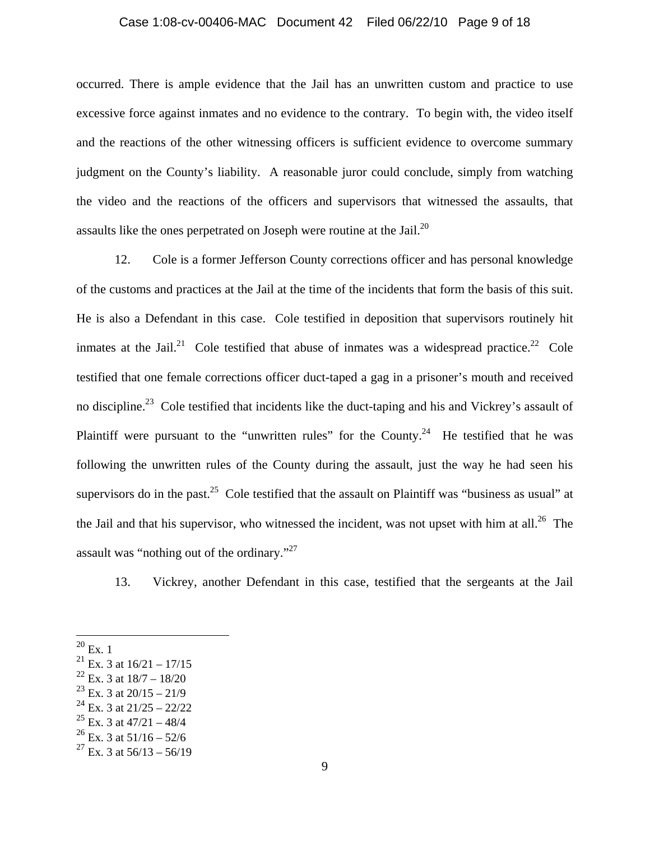# Case 1:08-cv-00406-MAC Document 42 Filed 06/22/10 Page 9 of 18

occurred. There is ample evidence that the Jail has an unwritten custom and practice to use excessive force against inmates and no evidence to the contrary. To begin with, the video itself and the reactions of the other witnessing officers is sufficient evidence to overcome summary judgment on the County's liability. A reasonable juror could conclude, simply from watching the video and the reactions of the officers and supervisors that witnessed the assaults, that assaults like the ones perpetrated on Joseph were routine at the Jail. $^{20}$ 

12. Cole is a former Jefferson County corrections officer and has personal knowledge of the customs and practices at the Jail at the time of the incidents that form the basis of this suit. He is also a Defendant in this case. Cole testified in deposition that supervisors routinely hit inmates at the Jail.<sup>21</sup> Cole testified that abuse of inmates was a widespread practice.<sup>22</sup> Cole testified that one female corrections officer duct-taped a gag in a prisoner's mouth and received no discipline.<sup>23</sup> Cole testified that incidents like the duct-taping and his and Vickrey's assault of Plaintiff were pursuant to the "unwritten rules" for the County.<sup>24</sup> He testified that he was following the unwritten rules of the County during the assault, just the way he had seen his supervisors do in the past.<sup>25</sup> Cole testified that the assault on Plaintiff was "business as usual" at the Jail and that his supervisor, who witnessed the incident, was not upset with him at all.<sup>26</sup> The assault was "nothing out of the ordinary."<sup>27</sup>

13. Vickrey, another Defendant in this case, testified that the sergeants at the Jail

 $^{20}$  Ex. 1

<sup>&</sup>lt;sup>21</sup> Ex. 3 at  $16/21 - 17/15$ 

 $^{22}$  Ex. 3 at  $18/7 - 18/20$ 

 $^{23}$  Ex. 3 at 20/15 – 21/9

 $^{24}$  Ex. 3 at 21/25 – 22/22

 $^{25}$  Ex. 3 at 47/21 – 48/4

 $26$  Ex. 3 at  $51/16 - 52/6$ 

 $^{27}$  Ex. 3 at 56/13 – 56/19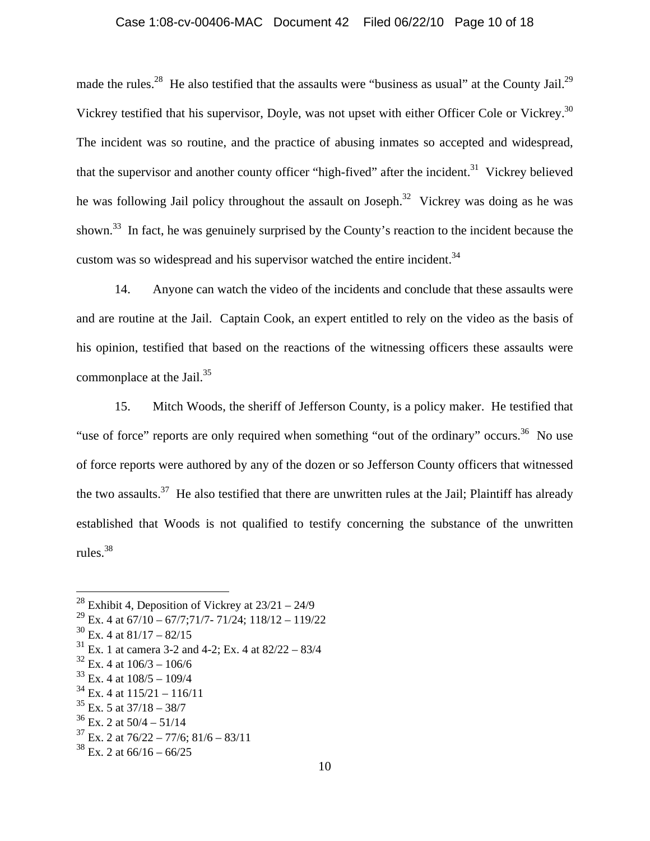## Case 1:08-cv-00406-MAC Document 42 Filed 06/22/10 Page 10 of 18

made the rules.<sup>28</sup> He also testified that the assaults were "business as usual" at the County Jail.<sup>29</sup> Vickrey testified that his supervisor, Doyle, was not upset with either Officer Cole or Vickrey.30 The incident was so routine, and the practice of abusing inmates so accepted and widespread, that the supervisor and another county officer "high-fived" after the incident.<sup>31</sup> Vickrey believed he was following Jail policy throughout the assault on Joseph.<sup>32</sup> Vickrey was doing as he was shown.<sup>33</sup> In fact, he was genuinely surprised by the County's reaction to the incident because the custom was so widespread and his supervisor watched the entire incident.<sup>34</sup>

14. Anyone can watch the video of the incidents and conclude that these assaults were and are routine at the Jail. Captain Cook, an expert entitled to rely on the video as the basis of his opinion, testified that based on the reactions of the witnessing officers these assaults were commonplace at the Jail. $35$ 

15. Mitch Woods, the sheriff of Jefferson County, is a policy maker. He testified that "use of force" reports are only required when something "out of the ordinary" occurs.<sup>36</sup> No use of force reports were authored by any of the dozen or so Jefferson County officers that witnessed the two assaults.<sup>37</sup> He also testified that there are unwritten rules at the Jail; Plaintiff has already established that Woods is not qualified to testify concerning the substance of the unwritten rules. $38$ 

<sup>&</sup>lt;sup>28</sup> Exhibit 4, Deposition of Vickrey at  $23/21 - 24/9$ 

 $^{29}$  Ex. 4 at 67/10 – 67/7;71/7- 71/24; 118/12 – 119/22

 $30$  Ex. 4 at  $81/17 - 82/15$ 

 $31$  Ex. 1 at camera 3-2 and 4-2; Ex. 4 at 82/22 – 83/4

 $32$  Ex. 4 at  $106/3 - 106/6$ 

 $33$  Ex. 4 at  $108/5 - 109/4$ 

 $34$  Ex. 4 at  $115/21 - 116/11$ 

 $35$  Ex. 5 at 37/18 – 38/7

 $36$  Ex. 2 at  $50/4 - 51/14$ 

 $37$  Ex. 2 at  $76/22 - 77/6$ ;  $81/6 - 83/11$ 

 $38$  Ex. 2 at 66/16 – 66/25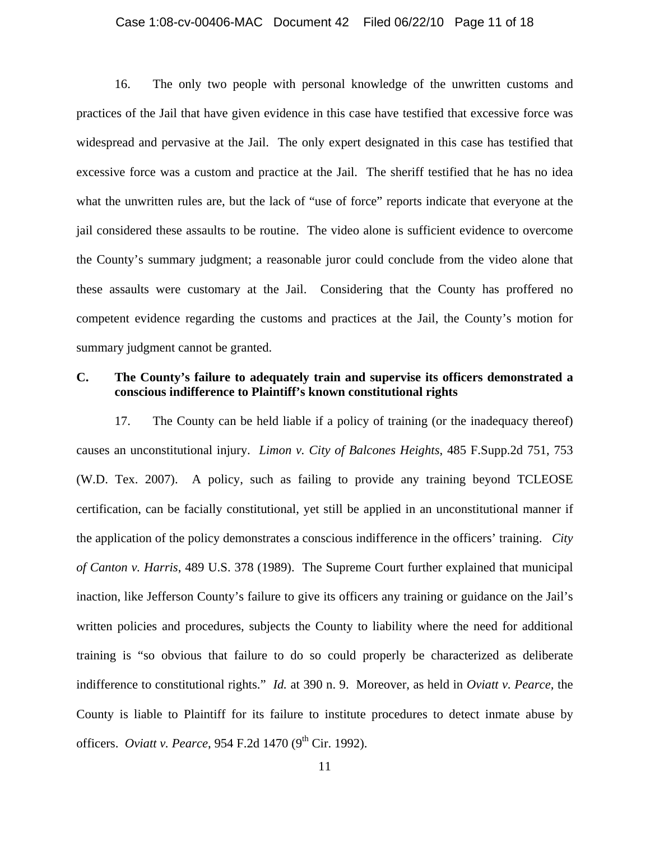### Case 1:08-cv-00406-MAC Document 42 Filed 06/22/10 Page 11 of 18

16. The only two people with personal knowledge of the unwritten customs and practices of the Jail that have given evidence in this case have testified that excessive force was widespread and pervasive at the Jail. The only expert designated in this case has testified that excessive force was a custom and practice at the Jail. The sheriff testified that he has no idea what the unwritten rules are, but the lack of "use of force" reports indicate that everyone at the jail considered these assaults to be routine. The video alone is sufficient evidence to overcome the County's summary judgment; a reasonable juror could conclude from the video alone that these assaults were customary at the Jail. Considering that the County has proffered no competent evidence regarding the customs and practices at the Jail, the County's motion for summary judgment cannot be granted.

## **C. The County's failure to adequately train and supervise its officers demonstrated a conscious indifference to Plaintiff's known constitutional rights**

17. The County can be held liable if a policy of training (or the inadequacy thereof) causes an unconstitutional injury. *Limon v. City of Balcones Heights*, 485 F.Supp.2d 751, 753 (W.D. Tex. 2007). A policy, such as failing to provide any training beyond TCLEOSE certification, can be facially constitutional, yet still be applied in an unconstitutional manner if the application of the policy demonstrates a conscious indifference in the officers' training. *City of Canton v. Harris*, 489 U.S. 378 (1989). The Supreme Court further explained that municipal inaction, like Jefferson County's failure to give its officers any training or guidance on the Jail's written policies and procedures, subjects the County to liability where the need for additional training is "so obvious that failure to do so could properly be characterized as deliberate indifference to constitutional rights." *Id.* at 390 n. 9. Moreover, as held in *Oviatt v. Pearce,* the County is liable to Plaintiff for its failure to institute procedures to detect inmate abuse by officers. *Oviatt v. Pearce*, 954 F.2d 1470 (9<sup>th</sup> Cir. 1992).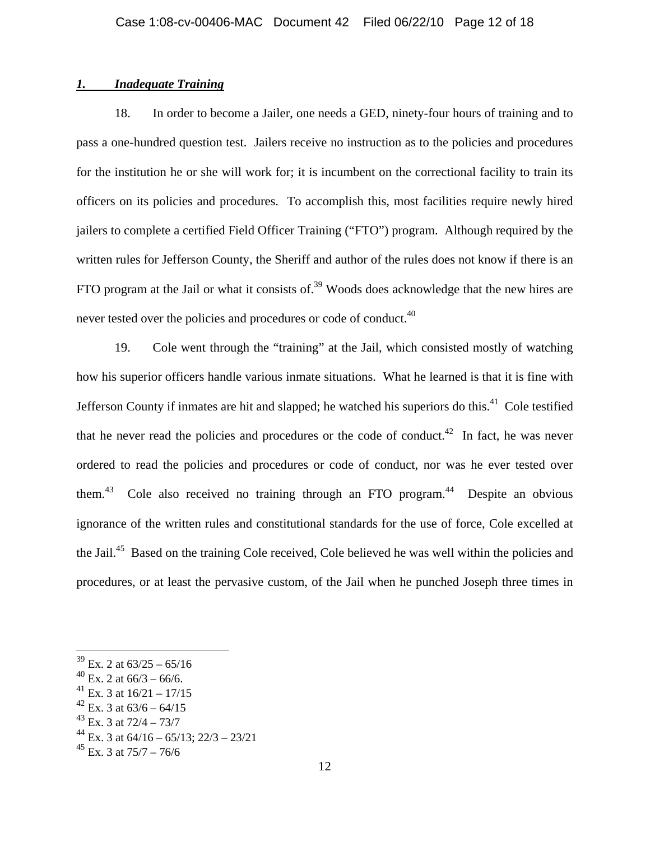## *1. Inadequate Training*

18. In order to become a Jailer, one needs a GED, ninety-four hours of training and to pass a one-hundred question test. Jailers receive no instruction as to the policies and procedures for the institution he or she will work for; it is incumbent on the correctional facility to train its officers on its policies and procedures. To accomplish this, most facilities require newly hired jailers to complete a certified Field Officer Training ("FTO") program. Although required by the written rules for Jefferson County, the Sheriff and author of the rules does not know if there is an FTO program at the Jail or what it consists of.<sup>39</sup> Woods does acknowledge that the new hires are never tested over the policies and procedures or code of conduct.<sup>40</sup>

19. Cole went through the "training" at the Jail, which consisted mostly of watching how his superior officers handle various inmate situations. What he learned is that it is fine with Jefferson County if inmates are hit and slapped; he watched his superiors do this. $41$  Cole testified that he never read the policies and procedures or the code of conduct.<sup>42</sup> In fact, he was never ordered to read the policies and procedures or code of conduct, nor was he ever tested over them.<sup>43</sup> Cole also received no training through an FTO program.<sup>44</sup> Despite an obvious ignorance of the written rules and constitutional standards for the use of force, Cole excelled at the Jail.<sup>45</sup> Based on the training Cole received, Cole believed he was well within the policies and procedures, or at least the pervasive custom, of the Jail when he punched Joseph three times in

1

 $39$  Ex. 2 at  $63/25 - 65/16$ 

 $^{40}$  Ex. 2 at 66/3 – 66/6.

Ex. 3 at  $16/21 - 17/15$ 

 $^{42}$  Ex. 3 at 63/6 – 64/15

 $^{43}$  Ex. 3 at  $72/4 - 73/7$ 

Ex. 3 at  $64/16 - 65/13$ ;  $22/3 - 23/21$ 

 $^{45}$  Ex. 3 at 75/7 – 76/6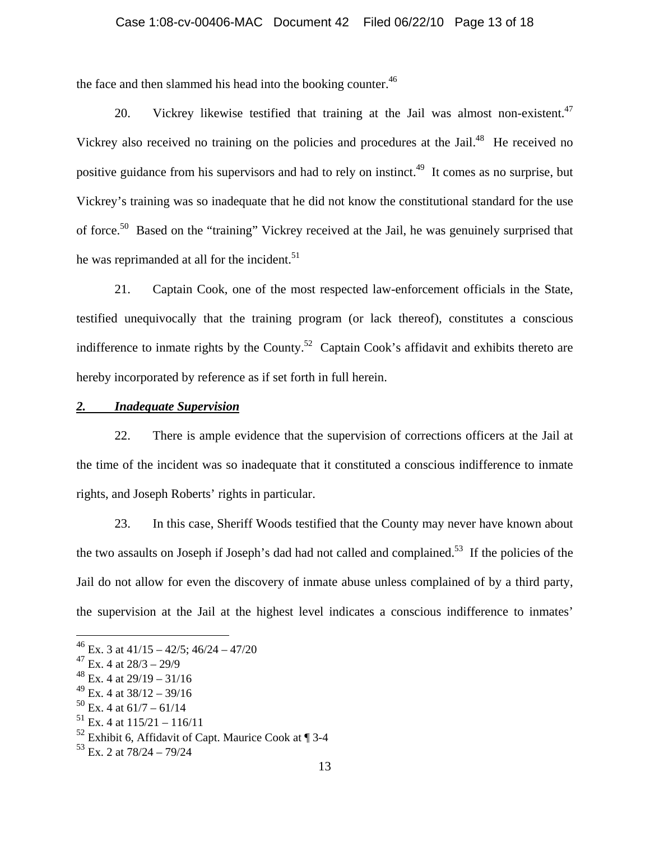#### Case 1:08-cv-00406-MAC Document 42 Filed 06/22/10 Page 13 of 18

the face and then slammed his head into the booking counter.<sup>46</sup>

20. Vickrey likewise testified that training at the Jail was almost non-existent. $47$ Vickrey also received no training on the policies and procedures at the Jail.<sup>48</sup> He received no positive guidance from his supervisors and had to rely on instinct.<sup>49</sup> It comes as no surprise, but Vickrey's training was so inadequate that he did not know the constitutional standard for the use of force.50 Based on the "training" Vickrey received at the Jail, he was genuinely surprised that he was reprimanded at all for the incident.<sup>51</sup>

21. Captain Cook, one of the most respected law-enforcement officials in the State, testified unequivocally that the training program (or lack thereof), constitutes a conscious indifference to inmate rights by the County.<sup>52</sup> Captain Cook's affidavit and exhibits thereto are hereby incorporated by reference as if set forth in full herein.

## *2. Inadequate Supervision*

22. There is ample evidence that the supervision of corrections officers at the Jail at the time of the incident was so inadequate that it constituted a conscious indifference to inmate rights, and Joseph Roberts' rights in particular.

23. In this case, Sheriff Woods testified that the County may never have known about the two assaults on Joseph if Joseph's dad had not called and complained.<sup>53</sup> If the policies of the Jail do not allow for even the discovery of inmate abuse unless complained of by a third party, the supervision at the Jail at the highest level indicates a conscious indifference to inmates'

 $^{46}$  Ex. 3 at 41/15 – 42/5; 46/24 – 47/20

 $47$  Ex. 4 at  $28/3 - 29/9$ 

 $^{48}$  Ex. 4 at 29/19 – 31/16

 $^{49}$  Ex. 4 at 38/12 – 39/16

 $50$  Ex. 4 at  $61/7 - 61/14$ 

 $^{51}$  Ex. 4 at  $115/21 - 116/11$ 

 $52$  Exhibit 6, Affidavit of Capt. Maurice Cook at  $\P$  3-4

 $53$  Ex. 2 at  $78/24 - 79/24$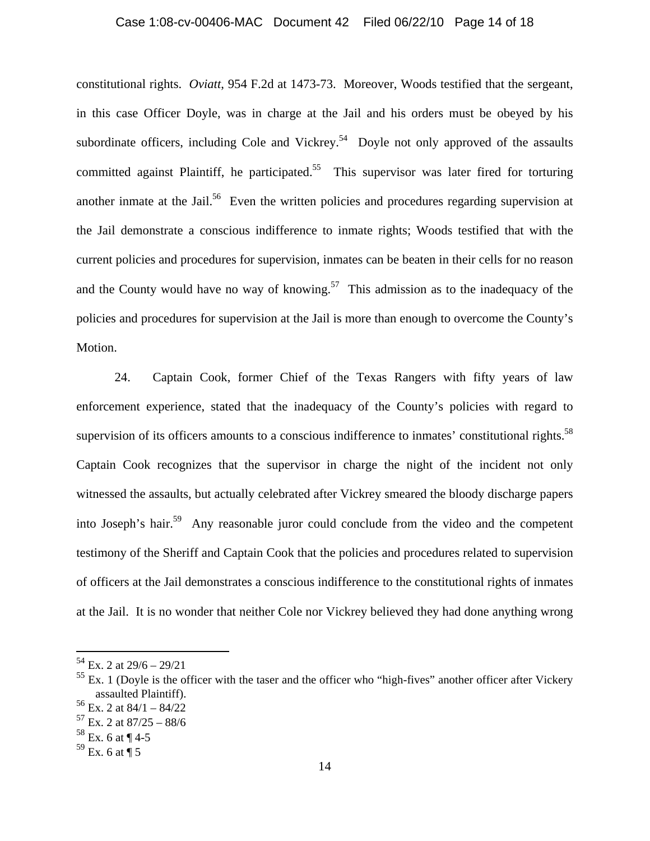### Case 1:08-cv-00406-MAC Document 42 Filed 06/22/10 Page 14 of 18

constitutional rights. *Oviatt*, 954 F.2d at 1473-73. Moreover, Woods testified that the sergeant, in this case Officer Doyle, was in charge at the Jail and his orders must be obeyed by his subordinate officers, including Cole and Vickrey.<sup>54</sup> Doyle not only approved of the assaults committed against Plaintiff, he participated.<sup>55</sup> This supervisor was later fired for torturing another inmate at the Jail.<sup>56</sup> Even the written policies and procedures regarding supervision at the Jail demonstrate a conscious indifference to inmate rights; Woods testified that with the current policies and procedures for supervision, inmates can be beaten in their cells for no reason and the County would have no way of knowing.<sup>57</sup> This admission as to the inadequacy of the policies and procedures for supervision at the Jail is more than enough to overcome the County's Motion.

24. Captain Cook, former Chief of the Texas Rangers with fifty years of law enforcement experience, stated that the inadequacy of the County's policies with regard to supervision of its officers amounts to a conscious indifference to inmates' constitutional rights.<sup>58</sup> Captain Cook recognizes that the supervisor in charge the night of the incident not only witnessed the assaults, but actually celebrated after Vickrey smeared the bloody discharge papers into Joseph's hair.<sup>59</sup> Any reasonable juror could conclude from the video and the competent testimony of the Sheriff and Captain Cook that the policies and procedures related to supervision of officers at the Jail demonstrates a conscious indifference to the constitutional rights of inmates at the Jail. It is no wonder that neither Cole nor Vickrey believed they had done anything wrong

 $54$  Ex. 2 at  $29/6 - 29/21$ 

 $55$  Ex. 1 (Doyle is the officer with the taser and the officer who "high-fives" another officer after Vickery assaulted Plaintiff).

 $56$  Ex. 2 at  $84/1 - 84/22$ 

 $^{57}$  Ex. 2 at 87/25 – 88/6

 $58$  Ex. 6 at ¶ 4-5

 $59$  Ex. 6 at ¶ 5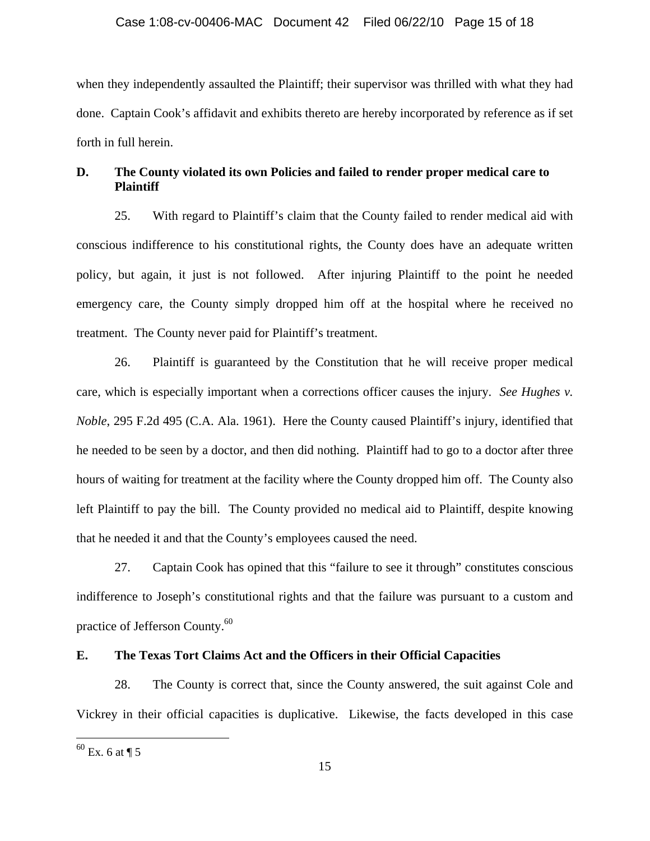when they independently assaulted the Plaintiff; their supervisor was thrilled with what they had done. Captain Cook's affidavit and exhibits thereto are hereby incorporated by reference as if set forth in full herein.

# **D. The County violated its own Policies and failed to render proper medical care to Plaintiff**

25. With regard to Plaintiff's claim that the County failed to render medical aid with conscious indifference to his constitutional rights, the County does have an adequate written policy, but again, it just is not followed. After injuring Plaintiff to the point he needed emergency care, the County simply dropped him off at the hospital where he received no treatment. The County never paid for Plaintiff's treatment.

26. Plaintiff is guaranteed by the Constitution that he will receive proper medical care, which is especially important when a corrections officer causes the injury. *See Hughes v. Noble*, 295 F.2d 495 (C.A. Ala. 1961). Here the County caused Plaintiff's injury, identified that he needed to be seen by a doctor, and then did nothing. Plaintiff had to go to a doctor after three hours of waiting for treatment at the facility where the County dropped him off. The County also left Plaintiff to pay the bill. The County provided no medical aid to Plaintiff, despite knowing that he needed it and that the County's employees caused the need.

27. Captain Cook has opined that this "failure to see it through" constitutes conscious indifference to Joseph's constitutional rights and that the failure was pursuant to a custom and practice of Jefferson County.<sup>60</sup>

# **E. The Texas Tort Claims Act and the Officers in their Official Capacities**

28. The County is correct that, since the County answered, the suit against Cole and Vickrey in their official capacities is duplicative. Likewise, the facts developed in this case

 $60$  Ex. 6 at  $\P$  5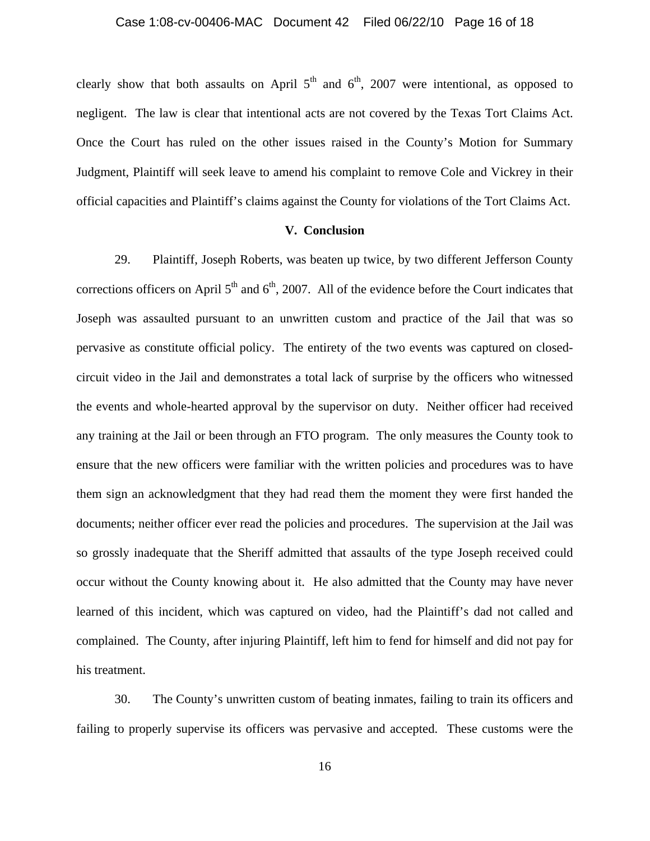clearly show that both assaults on April  $5<sup>th</sup>$  and  $6<sup>th</sup>$ , 2007 were intentional, as opposed to negligent. The law is clear that intentional acts are not covered by the Texas Tort Claims Act. Once the Court has ruled on the other issues raised in the County's Motion for Summary Judgment, Plaintiff will seek leave to amend his complaint to remove Cole and Vickrey in their official capacities and Plaintiff's claims against the County for violations of the Tort Claims Act.

### **V. Conclusion**

29. Plaintiff, Joseph Roberts, was beaten up twice, by two different Jefferson County corrections officers on April  $5<sup>th</sup>$  and  $6<sup>th</sup>$ , 2007. All of the evidence before the Court indicates that Joseph was assaulted pursuant to an unwritten custom and practice of the Jail that was so pervasive as constitute official policy. The entirety of the two events was captured on closedcircuit video in the Jail and demonstrates a total lack of surprise by the officers who witnessed the events and whole-hearted approval by the supervisor on duty. Neither officer had received any training at the Jail or been through an FTO program. The only measures the County took to ensure that the new officers were familiar with the written policies and procedures was to have them sign an acknowledgment that they had read them the moment they were first handed the documents; neither officer ever read the policies and procedures. The supervision at the Jail was so grossly inadequate that the Sheriff admitted that assaults of the type Joseph received could occur without the County knowing about it. He also admitted that the County may have never learned of this incident, which was captured on video, had the Plaintiff's dad not called and complained. The County, after injuring Plaintiff, left him to fend for himself and did not pay for his treatment.

30. The County's unwritten custom of beating inmates, failing to train its officers and failing to properly supervise its officers was pervasive and accepted. These customs were the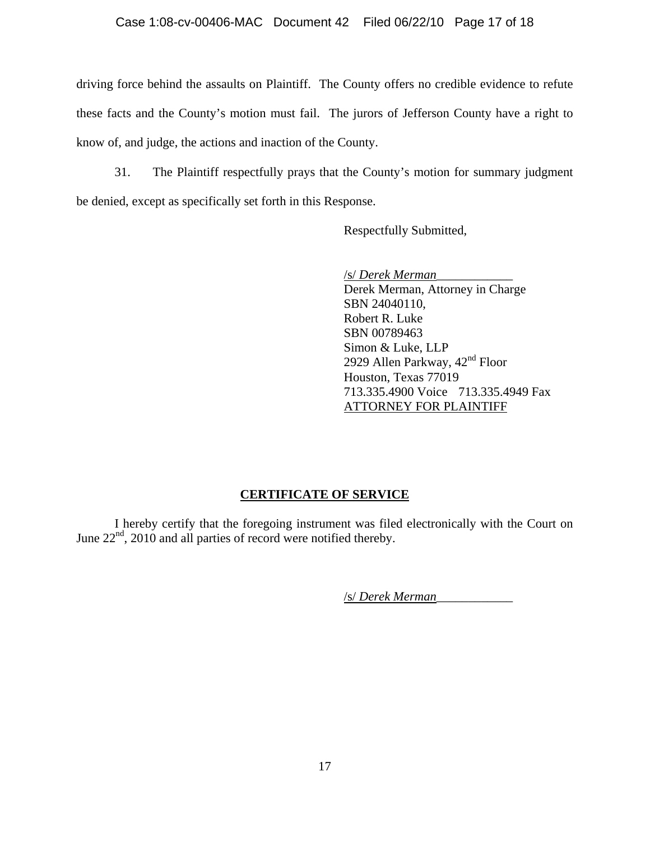## Case 1:08-cv-00406-MAC Document 42 Filed 06/22/10 Page 17 of 18

driving force behind the assaults on Plaintiff. The County offers no credible evidence to refute these facts and the County's motion must fail. The jurors of Jefferson County have a right to know of, and judge, the actions and inaction of the County.

31. The Plaintiff respectfully prays that the County's motion for summary judgment be denied, except as specifically set forth in this Response.

Respectfully Submitted,

 /s/ *Derek Merman*\_\_\_\_\_\_\_\_\_\_\_\_ Derek Merman, Attorney in Charge SBN 24040110, Robert R. Luke SBN 00789463 Simon & Luke, LLP 2929 Allen Parkway, 42<sup>nd</sup> Floor Houston, Texas 77019 713.335.4900 Voice 713.335.4949 Fax ATTORNEY FOR PLAINTIFF

# **CERTIFICATE OF SERVICE**

I hereby certify that the foregoing instrument was filed electronically with the Court on June  $22<sup>nd</sup>$ , 2010 and all parties of record were notified thereby.

/s/ *Derek Merman*\_\_\_\_\_\_\_\_\_\_\_\_